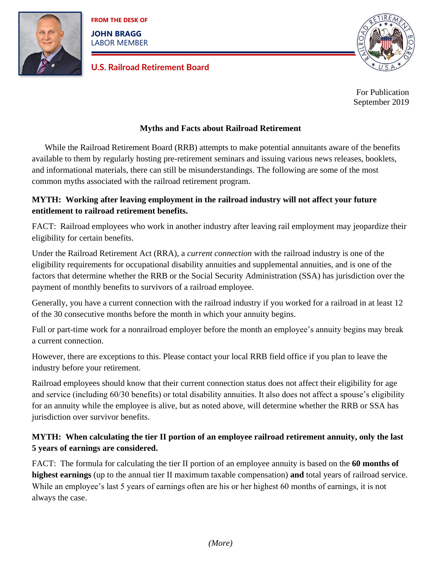

**FROM THE DESK OF**

**JOHN BRAGG** LABOR MEMBER

### **U.S. Railroad Retirement Board**



For Publication September 2019

#### **Myths and Facts about Railroad Retirement**

While the Railroad Retirement Board (RRB) attempts to make potential annuitants aware of the benefits available to them by regularly hosting pre-retirement seminars and issuing various news releases, booklets, and informational materials, there can still be misunderstandings. The following are some of the most common myths associated with the railroad retirement program.

### **MYTH: Working after leaving employment in the railroad industry will not affect your future entitlement to railroad retirement benefits.**

FACT: Railroad employees who work in another industry after leaving rail employment may jeopardize their eligibility for certain benefits.

Under the Railroad Retirement Act (RRA), a *current connection* with the railroad industry is one of the eligibility requirements for occupational disability annuities and supplemental annuities, and is one of the factors that determine whether the RRB or the Social Security Administration (SSA) has jurisdiction over the payment of monthly benefits to survivors of a railroad employee.

Generally, you have a current connection with the railroad industry if you worked for a railroad in at least 12 of the 30 consecutive months before the month in which your annuity begins.

Full or part-time work for a nonrailroad employer before the month an employee's annuity begins may break a current connection.

However, there are exceptions to this. Please contact your local RRB field office if you plan to leave the industry before your retirement.

Railroad employees should know that their current connection status does not affect their eligibility for age and service (including 60/30 benefits) or total disability annuities. It also does not affect a spouse's eligibility for an annuity while the employee is alive, but as noted above, will determine whether the RRB or SSA has jurisdiction over survivor benefits.

## **MYTH: When calculating the tier II portion of an employee railroad retirement annuity, only the last 5 years of earnings are considered.**

FACT: The formula for calculating the tier II portion of an employee annuity is based on the **60 months of highest earnings** (up to the annual tier II maximum taxable compensation) **and** total years of railroad service. While an employee's last 5 years of earnings often are his or her highest 60 months of earnings, it is not always the case.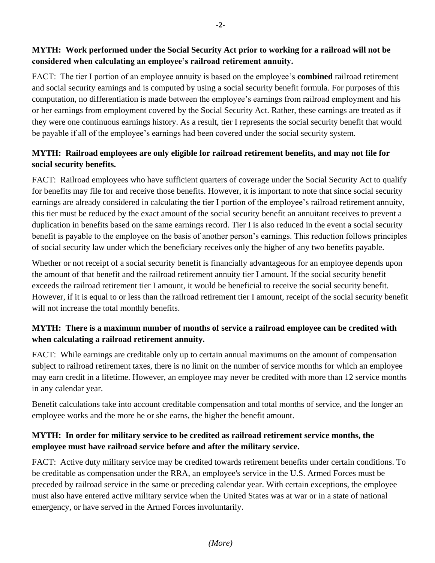### **MYTH: Work performed under the Social Security Act prior to working for a railroad will not be considered when calculating an employee's railroad retirement annuity.**

FACT: The tier I portion of an employee annuity is based on the employee's **combined** railroad retirement and social security earnings and is computed by using a social security benefit formula. For purposes of this computation, no differentiation is made between the employee's earnings from railroad employment and his or her earnings from employment covered by the Social Security Act. Rather, these earnings are treated as if they were one continuous earnings history. As a result, tier I represents the social security benefit that would be payable if all of the employee's earnings had been covered under the social security system.

## **MYTH: Railroad employees are only eligible for railroad retirement benefits, and may not file for social security benefits.**

FACT: Railroad employees who have sufficient quarters of coverage under the Social Security Act to qualify for benefits may file for and receive those benefits. However, it is important to note that since social security earnings are already considered in calculating the tier I portion of the employee's railroad retirement annuity, this tier must be reduced by the exact amount of the social security benefit an annuitant receives to prevent a duplication in benefits based on the same earnings record. Tier I is also reduced in the event a social security benefit is payable to the employee on the basis of another person's earnings. This reduction follows principles of social security law under which the beneficiary receives only the higher of any two benefits payable.

Whether or not receipt of a social security benefit is financially advantageous for an employee depends upon the amount of that benefit and the railroad retirement annuity tier I amount. If the social security benefit exceeds the railroad retirement tier I amount, it would be beneficial to receive the social security benefit. However, if it is equal to or less than the railroad retirement tier I amount, receipt of the social security benefit will not increase the total monthly benefits.

## **MYTH: There is a maximum number of months of service a railroad employee can be credited with when calculating a railroad retirement annuity.**

FACT: While earnings are creditable only up to certain annual maximums on the amount of compensation subject to railroad retirement taxes, there is no limit on the number of service months for which an employee may earn credit in a lifetime. However, an employee may never be credited with more than 12 service months in any calendar year.

Benefit calculations take into account creditable compensation and total months of service, and the longer an employee works and the more he or she earns, the higher the benefit amount.

### **MYTH: In order for military service to be credited as railroad retirement service months, the employee must have railroad service before and after the military service.**

FACT: Active duty military service may be credited towards retirement benefits under certain conditions. To be creditable as compensation under the RRA, an employee's service in the U.S. Armed Forces must be preceded by railroad service in the same or preceding calendar year. With certain exceptions, the employee must also have entered active military service when the United States was at war or in a state of national emergency, or have served in the Armed Forces involuntarily.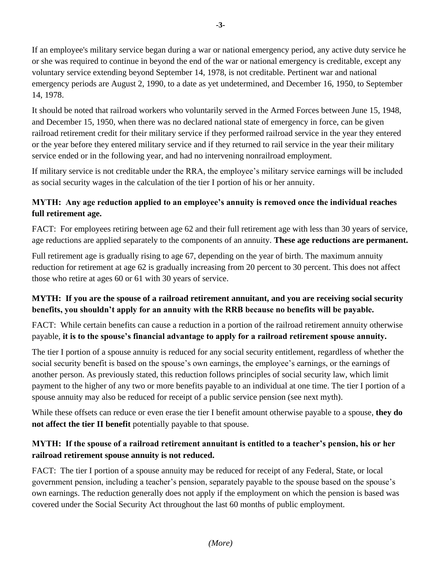If an employee's military service began during a war or national emergency period, any active duty service he or she was required to continue in beyond the end of the war or national emergency is creditable, except any voluntary service extending beyond September 14, 1978, is not creditable. Pertinent war and national emergency periods are August 2, 1990, to a date as yet undetermined, and December 16, 1950, to September 14, 1978.

It should be noted that railroad workers who voluntarily served in the Armed Forces between June 15, 1948, and December 15, 1950, when there was no declared national state of emergency in force, can be given railroad retirement credit for their military service if they performed railroad service in the year they entered or the year before they entered military service and if they returned to rail service in the year their military service ended or in the following year, and had no intervening nonrailroad employment.

If military service is not creditable under the RRA, the employee's military service earnings will be included as social security wages in the calculation of the tier I portion of his or her annuity.

## **MYTH: Any age reduction applied to an employee's annuity is removed once the individual reaches full retirement age.**

FACT: For employees retiring between age 62 and their full retirement age with less than 30 years of service, age reductions are applied separately to the components of an annuity. **These age reductions are permanent.**

Full retirement age is gradually rising to age 67, depending on the year of birth. The maximum annuity reduction for retirement at age 62 is gradually increasing from 20 percent to 30 percent. This does not affect those who retire at ages 60 or 61 with 30 years of service.

### **MYTH: If you are the spouse of a railroad retirement annuitant, and you are receiving social security benefits, you shouldn't apply for an annuity with the RRB because no benefits will be payable.**

FACT: While certain benefits can cause a reduction in a portion of the railroad retirement annuity otherwise payable, **it is to the spouse's financial advantage to apply for a railroad retirement spouse annuity.**

The tier I portion of a spouse annuity is reduced for any social security entitlement, regardless of whether the social security benefit is based on the spouse's own earnings, the employee's earnings, or the earnings of another person. As previously stated, this reduction follows principles of social security law, which limit payment to the higher of any two or more benefits payable to an individual at one time. The tier I portion of a spouse annuity may also be reduced for receipt of a public service pension (see next myth).

While these offsets can reduce or even erase the tier I benefit amount otherwise payable to a spouse, **they do not affect the tier II benefit** potentially payable to that spouse.

### **MYTH: If the spouse of a railroad retirement annuitant is entitled to a teacher's pension, his or her railroad retirement spouse annuity is not reduced.**

FACT: The tier I portion of a spouse annuity may be reduced for receipt of any Federal, State, or local government pension, including a teacher's pension, separately payable to the spouse based on the spouse's own earnings. The reduction generally does not apply if the employment on which the pension is based was covered under the Social Security Act throughout the last 60 months of public employment.